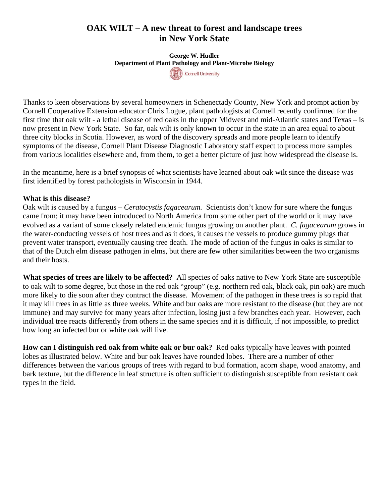## **OAK WILT – A new threat to forest and landscape trees in New York State**

**George W. Hudler Department of Plant Pathology and Plant-Microbe Biology**  Cornell University

Thanks to keen observations by several homeowners in Schenectady County, New York and prompt action by Cornell Cooperative Extension educator Chris Logue, plant pathologists at Cornell recently confirmed for the first time that oak wilt - a lethal disease of red oaks in the upper Midwest and mid-Atlantic states and Texas – is now present in New York State. So far, oak wilt is only known to occur in the state in an area equal to about three city blocks in Scotia. However, as word of the discovery spreads and more people learn to identify symptoms of the disease, Cornell Plant Disease Diagnostic Laboratory staff expect to process more samples from various localities elsewhere and, from them, to get a better picture of just how widespread the disease is.

In the meantime, here is a brief synopsis of what scientists have learned about oak wilt since the disease was first identified by forest pathologists in Wisconsin in 1944.

## **What is this disease?**

Oak wilt is caused by a fungus – *Ceratocystis fagacearum.* Scientists don't know for sure where the fungus came from; it may have been introduced to North America from some other part of the world or it may have evolved as a variant of some closely related endemic fungus growing on another plant. *C. fagacearum* grows in the water-conducting vessels of host trees and as it does, it causes the vessels to produce gummy plugs that prevent water transport, eventually causing tree death. The mode of action of the fungus in oaks is similar to that of the Dutch elm disease pathogen in elms, but there are few other similarities between the two organisms and their hosts.

**What species of trees are likely to be affected?** All species of oaks native to New York State are susceptible to oak wilt to some degree, but those in the red oak "group" (e.g. northern red oak, black oak, pin oak) are much more likely to die soon after they contract the disease. Movement of the pathogen in these trees is so rapid that it may kill trees in as little as three weeks. White and bur oaks are more resistant to the disease (but they are not immune) and may survive for many years after infection, losing just a few branches each year. However, each individual tree reacts differently from others in the same species and it is difficult, if not impossible, to predict how long an infected bur or white oak will live.

**How can I distinguish red oak from white oak or bur oak?** Red oaks typically have leaves with pointed lobes as illustrated below. White and bur oak leaves have rounded lobes. There are a number of other differences between the various groups of trees with regard to bud formation, acorn shape, wood anatomy, and bark texture, but the difference in leaf structure is often sufficient to distinguish susceptible from resistant oak types in the field.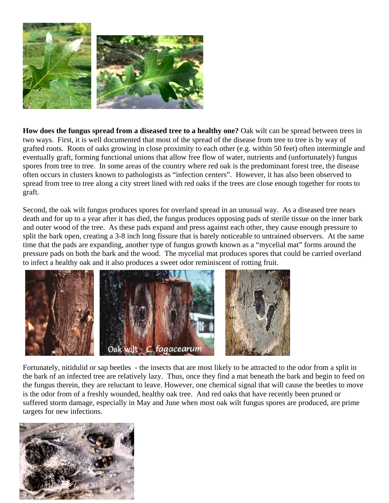

**How does the fungus spread from a diseased tree to a healthy one?** Oak wilt can be spread between trees in two ways. First, it is well documented that most of the spread of the disease from tree to tree is by way of grafted roots. Roots of oaks growing in close proximity to each other (e.g. within 50 feet) often intermingle and eventually graft, forming functional unions that allow free flow of water, nutrients and (unfortunately) fungus spores from tree to tree. In some areas of the country where red oak is the predominant forest tree, the disease often occurs in clusters known to pathologists as "infection centers". However, it has also been observed to spread from tree to tree along a city street lined with red oaks if the trees are close enough together for roots to graft.

Second, the oak wilt fungus produces spores for overland spread in an unusual way. As a diseased tree nears death and for up to a year after it has died, the fungus produces opposing pads of sterile tissue on the inner bark and outer wood of the tree. As these pads expand and press against each other, they cause enough pressure to split the bark open, creating a 3-8 inch long fissure that is barely noticeable to untrained observers. At the same time that the pads are expanding, another type of fungus growth known as a "mycelial mat" forms around the pressure pads on both the bark and the wood. The mycelial mat produces spores that could be carried overland to infect a healthy oak and it also produces a sweet odor reminiscent of rotting fruit.



Fortunately, nitidulid or sap beetles - the insects that are most likely to be attracted to the odor from a split in the bark of an infected tree are relatively lazy. Thus, once they find a mat beneath the bark and begin to feed on the fungus therein, they are reluctant to leave. However, one chemical signal that will cause the beetles to move is the odor from of a freshly wounded, healthy oak tree. And red oaks that have recently been pruned or suffered storm damage, especially in May and June when most oak wilt fungus spores are produced, are prime targets for new infections.

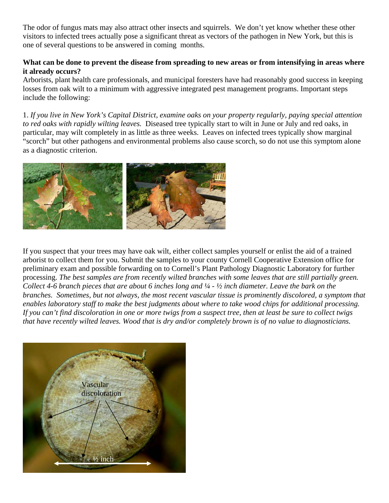The odor of fungus mats may also attract other insects and squirrels. We don't yet know whether these other visitors to infected trees actually pose a significant threat as vectors of the pathogen in New York, but this is one of several questions to be answered in coming months.

## **What can be done to prevent the disease from spreading to new areas or from intensifying in areas where it already occurs?**

Arborists, plant health care professionals, and municipal foresters have had reasonably good success in keeping losses from oak wilt to a minimum with aggressive integrated pest management programs. Important steps include the following:

1. *If you live in New York's Capital District, examine oaks on your property regularly, paying special attention to red oaks with rapidly wilting leaves.* Diseased tree typically start to wilt in June or July and red oaks, in particular, may wilt completely in as little as three weeks. Leaves on infected trees typically show marginal "scorch" but other pathogens and environmental problems also cause scorch, so do not use this symptom alone as a diagnostic criterion.



If you suspect that your trees may have oak wilt, either collect samples yourself or enlist the aid of a trained arborist to collect them for you. Submit the samples to your county Cornell Cooperative Extension office for preliminary exam and possible forwarding on to Cornell's Plant Pathology Diagnostic Laboratory for further processing. *The best samples are from recently wilted branches with some leaves that are still partially green. Collect 4-6 branch pieces that are about 6 inches long and ¼ - ½ inch diameter. Leave the bark on the branches. Sometimes, but not always, the most recent vascular tissue is prominently discolored, a symptom that enables laboratory staff to make the best judgments about where to take wood chips for additional processing. If you can't find discoloration in one or more twigs from a suspect tree, then at least be sure to collect twigs that have recently wilted leaves. Wood that is dry and/or completely brown is of no value to diagnosticians.*